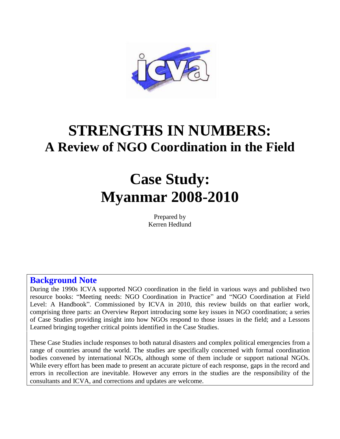

## **STRENGTHS IN NUMBERS: A Review of NGO Coordination in the Field**

# **Case Study: Myanmar 2008-2010**

Prepared by Kerren Hedlund

## **Background Note**

During the 1990s ICVA supported NGO coordination in the field in various ways and published two resource books: "Meeting needs: NGO Coordination in Practice" and "NGO Coordination at Field Level: A Handbook". Commissioned by ICVA in 2010, this review builds on that earlier work, comprising three parts: an Overview Report introducing some key issues in NGO coordination; a series of Case Studies providing insight into how NGOs respond to those issues in the field; and a Lessons Learned bringing together critical points identified in the Case Studies.

These Case Studies include responses to both natural disasters and complex political emergencies from a range of countries around the world. The studies are specifically concerned with formal coordination bodies convened by international NGOs, although some of them include or support national NGOs. While every effort has been made to present an accurate picture of each response, gaps in the record and errors in recollection are inevitable. However any errors in the studies are the responsibility of the consultants and ICVA, and corrections and updates are welcome.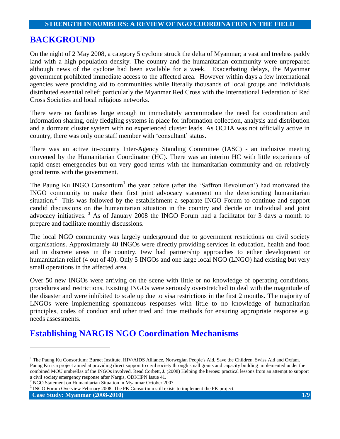## **BACKGROUND**

On the night of 2 May 2008, a category 5 cyclone struck the delta of Myanmar; a vast and treeless paddy land with a high population density. The country and the humanitarian community were unprepared although news of the cyclone had been available for a week. Exacerbating delays, the Myanmar government prohibited immediate access to the affected area. However within days a few international agencies were providing aid to communities while literally thousands of local groups and individuals distributed essential relief; particularly the Myanmar Red Cross with the International Federation of Red Cross Societies and local religious networks.

There were no facilities large enough to immediately accommodate the need for coordination and information sharing, only fledgling systems in place for information collection, analysis and distribution and a dormant cluster system with no experienced cluster leads. As OCHA was not officially active in country, there was only one staff member with "consultant" status.

There was an active in-country Inter-Agency Standing Committee (IASC) - an inclusive meeting convened by the Humanitarian Coordinator (HC). There was an interim HC with little experience of rapid onset emergencies but on very good terms with the humanitarian community and on relatively good terms with the government.

The Paung Ku INGO Consortium<sup>1</sup> the year before (after the 'Saffron Revolution') had motivated the INGO community to make their first joint advocacy statement on the deteriorating humanitarian situation.<sup>2</sup> This was followed by the establishment a separate INGO Forum to continue and support candid discussions on the humanitarian situation in the country and decide on individual and joint advocacy initiatives. <sup>3</sup> As of January 2008 the INGO Forum had a facilitator for 3 days a month to prepare and facilitate monthly discussions.

The local NGO community was largely underground due to government restrictions on civil society organisations. Approximately 40 INGOs were directly providing services in education, health and food aid in discrete areas in the country. Few had partnership approaches to either development or humanitarian relief (4 out of 40). Only 5 INGOs and one large local NGO (LNGO) had existing but very small operations in the affected area.

Over 50 new INGOs were arriving on the scene with little or no knowledge of operating conditions, procedures and restrictions. Existing INGOs were seriously overstretched to deal with the magnitude of the disaster and were inhibited to scale up due to visa restrictions in the first 2 months. The majority of LNGOs were implementing spontaneous responses with little to no knowledge of humanitarian principles, codes of conduct and other tried and true methods for ensuring appropriate response e.g. needs assessments.

## **Establishing NARGIS NGO Coordination Mechanisms**

<sup>&</sup>lt;sup>1</sup> The Paung Ku Consortium: Burnet Institute, HIV/AIDS Alliance, Norwegian People's Aid, Save the Children, Swiss Aid and Oxfam. Paung Ku is a project aimed at providing direct support to civil society through small grants and capacity building implemented under the combined MOU umbrellas of the INGOs involved. Read Corbett, J. (2008) Helping the heroes: practical lessons from an attempt to support a civil society emergency response after Nargis, ODI/HPN Issue 41.

<sup>2</sup> NGO Statement on Humanitarian Situation in Myanmar October 2007

<sup>3</sup> INGO Forum Overview February 2008. The PK Consortium still exists to implement the PK project.

**Case Study: Myanmar (2008-2010) 1/9**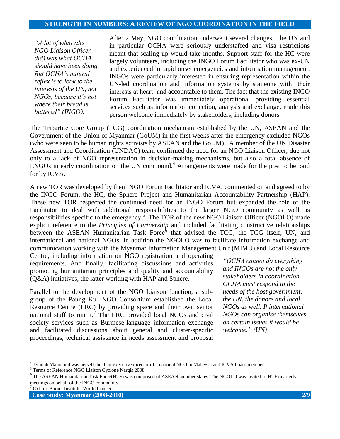*"A lot of what (the NGO Liaison Officer did) was what OCHA should have been doing. But OCHA's natural reflex is to look to the interests of the UN, not NGOs, because it's not where their bread is buttered" (INGO).*

After 2 May, NGO coordination underwent several changes. The UN and in particular OCHA were seriously understaffed and visa restrictions meant that scaling up would take months. Support staff for the HC were largely volunteers, including the INGO Forum Facilitator who was ex-UN and experienced in rapid onset emergencies and information management. INGOs were particularly interested in ensuring representation within the UN-led coordination and information systems by someone with "their interests at heart' and accountable to them. The fact that the existing INGO Forum Facilitator was immediately operational providing essential services such as information collection, analysis and exchange, made this person welcome immediately by stakeholders, including donors.

The Tripartite Core Group (TCG) coordination mechanism established by the UN, ASEAN and the Government of the Union of Myanmar (GoUM) in the first weeks after the emergency excluded NGOs (who were seen to be human rights activists by ASEAN and the GoUM). A member of the UN Disaster Assessment and Coordination (UNDAC) team confirmed the need for an NGO Liaison Officer, due not only to a lack of NGO representation in decision-making mechanisms, but also a total absence of LNGOs in early coordination on the UN compound. <sup>4</sup> Arrangements were made for the post to be paid for by ICVA.

A new TOR was developed by then INGO Forum Facilitator and ICVA, commented on and agreed to by the INGO Forum, the HC, the Sphere Project and Humanitarian Accountability Partnership (HAP). These new TOR respected the continued need for an INGO Forum but expanded the role of the Facilitator to deal with additional responsibilities to the larger NGO community as well as responsibilities specific to the emergency.<sup>5</sup> The TOR of the new NGO Liaison Officer (NGOLO) made explicit reference to the *Principles of Partnership* and included facilitating constructive relationships between the ASEAN Humanitarian Task Force<sup>6</sup> that advised the TCG, the TCG itself, UN, and international and national NGOs. In addition the NGOLO was to facilitate information exchange and communication working with the Myanmar Information Management Unit (MIMU) and Local Resource

Centre, including information on NGO registration and operating requirements. And finally, facilitating discussions and activities promoting humanitarian principles and quality and accountability (Q&A) initiatives, the latter working with HAP and Sphere.

Parallel to the development of the NGO Liaison function, a subgroup of the Paung Ku INGO Consortium established the Local Resource Centre (LRC) by providing space and their own senior national staff to run it.<sup>7</sup> The LRC provided local NGOs and civil society services such as Burmese-language information exchange and facilitated discussions about general and cluster-specific proceedings, technical assistance in needs assessment and proposal

*"OCHA cannot do everything and INGOs are not the only stakeholders in coordination. OCHA must respond to the needs of the host government, the UN, the donors and local NGOs as well. If international NGOs can organise themselves on certain issues it would be welcome." (UN)*

<sup>4</sup> Jemilah Mahmoud was herself the then-executive director of a national NGO in Malaysia and ICVA board member.

<sup>5</sup> Terms of Reference NGO Liaison Cyclone Nargis 2008

<sup>&</sup>lt;sup>6</sup> The ASEAN Humanitarian Task Force(HTF) was comprised of ASEAN member states. The NGOLO was invited to HTF quarterly meetings on behalf of the INGO community.

Oxfam, Burnet Institute, World Concern

**Case Study: Myanmar (2008-2010) 2/9**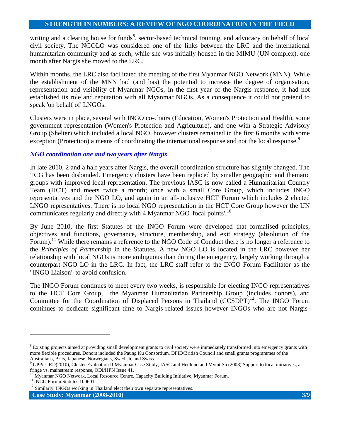writing and a clearing house for funds<sup>8</sup>, sector-based technical training, and advocacy on behalf of local civil society. The NGOLO was considered one of the links between the LRC and the international humanitarian community and as such, while she was initially housed in the MIMU (UN complex), one month after Nargis she moved to the LRC.

Within months, the LRC also facilitated the meeting of the first Myanmar NGO Network (MNN). While the establishment of the MNN had (and has) the potential to increase the degree of organisation, representation and visibility of Myanmar NGOs, in the first year of the Nargis response, it had not established its role and reputation with all Myanmar NGOs. As a consequence it could not pretend to speak 'on behalf of' LNGOs.

Clusters were in place, several with INGO co-chairs (Education, Women's Protection and Health), some government representation (Women's Protection and Agriculture), and one with a Strategic Advisory Group (Shelter) which included a local NGO, however clusters remained in the first 6 months with some exception (Protection) a means of coordinating the international response and not the local response.<sup>9</sup>

#### *NGO coordination one and two years after Nargis*

In late 2010, 2 and a half years after Nargis, the overall coordination structure has slightly changed. The TCG has been disbanded. Emergency clusters have been replaced by smaller geographic and thematic groups with improved local representation. The previous IASC is now called a Humanitarian Country Team (HCT) and meets twice a month; once with a small Core Group, which includes INGO representatives and the NGO LO, and again in an all-inclusive HCT Forum which includes 2 elected LNGO representatives. There is no local NGO representation in the HCT Core Group however the UN communicates regularly and directly with 4 Myanmar NGO 'focal points'.<sup>10</sup>

By June 2010, the first Statutes of the INGO Forum were developed that formalised principles, objectives and functions, governance, structure, membership, and exit strategy (absolution of the Forum).<sup>11</sup> While there remains a reference to the NGO Code of Conduct there is no longer a reference to the *Principles of Partner*ship in the Statutes. A new NGO LO is located in the LRC however her relationship with local NGOs is more ambiguous than during the emergency, largely working through a counterpart NGO LO in the LRC. In fact, the LRC staff refer to the INGO Forum Facilitator as the "INGO Liaison" to avoid confusion.

The INGO Forum continues to meet every two weeks, is responsible for electing INGO representatives to the HCT Core Group, the Myanmar Humanitarian Partnership Group (includes donors), and Committee for the Coordination of Displaced Persons in Thailand (CCSDPT)<sup>12</sup>. The INGO Forum continues to dedicate significant time to Nargis-related issues however INGOs who are not Nargis-

<sup>&</sup>lt;sup>8</sup> Existing projects aimed at providing small development grants to civil society were immediately transformed into emergency grants with more flexible procedures. Donors included the Paung Ku Consortium, DFID/British Council and small grants programmes of the Australians, Brits, Japanese, Norwegians, Swedish, and Swiss.

<sup>9</sup> GPPi-URD(2010), Cluster Evaluation II Myanmar Case Study, IASC and Hedlund and Myint Su (2008) Support to local initiatives; a fringe vs. mainstream response, ODI/HPN Issue 41.

<sup>&</sup>lt;sup>10</sup> Myanmar NGO Network, Local Resource Centre, Capacity Building Initiative, Myanmar Forum.

<sup>&</sup>lt;sup>11</sup> INGO Forum Statutes 100601

<sup>&</sup>lt;sup>12</sup> Similarly, INGOs working in Thailand elect their own separate representatives.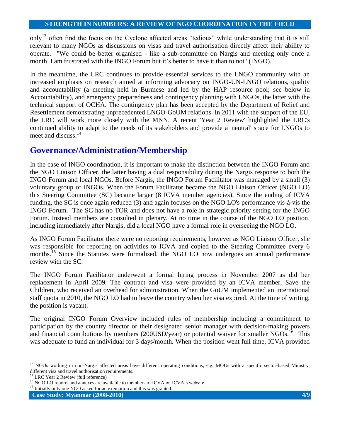only<sup>13</sup> often find the focus on the Cyclone affected areas "tedious" while understanding that it is still relevant to many NGOs as discussions on visas and travel authorisation directly affect their ability to operate. "We could be better organised - like a sub-committee on Nargis and meeting only once a month. I am frustrated with the INGO Forum but it's better to have it than to not" (INGO).

In the meantime, the LRC continues to provide essential services to the LNGO community with an increased emphasis on research aimed at informing advocacy on INGO-UN-LNGO relations, quality and accountability (a meeting held in Burmese and led by the HAP resource pool; see below in Accountability), and emergency preparedness and contingency planning with LNGOs, the latter with the technical support of OCHA. The contingency plan has been accepted by the Department of Relief and Resettlement demonstrating unprecedented LNGO-GoUM relations. In 2011 with the support of the EU, the LRC will work more closely with the MNN. A recent 'Year 2 Review' highlighted the LRC's continued ability to adapt to the needs of its stakeholders and provide a 'neutral' space for LNGOs to meet and discuss.<sup>14</sup>

## **Governance/Administration/Membership**

In the case of INGO coordination, it is important to make the distinction between the INGO Forum and the NGO Liaison Officer, the latter having a dual responsibility during the Nargis response to both the INGO Forum and local NGOs. Before Nargis, the INGO Forum Facilitator was managed by a small (3) voluntary group of INGOs. When the Forum Facilitator became the NGO Liaison Officer (NGO LO) this Steering Committee (SC) became larger (8 ICVA member agencies). Since the ending of ICVA funding, the SC is once again reduced (3) and again focuses on the NGO LO's performance vis-à-vis the INGO Forum. The SC has no TOR and does not have a role in strategic priority setting for the INGO Forum. Instead members are consulted in plenary. At no time in the course of the NGO LO position, including immediately after Nargis, did a local NGO have a formal role in overseeing the NGO LO.

As INGO Forum Facilitator there were no reporting requirements, however as NGO Liaison Officer, she was responsible for reporting on activities to ICVA and copied to the Steering Committee every 6 months.<sup>15</sup> Since the Statutes were formalised, the NGO LO now undergoes an annual performance review with the SC.

The INGO Forum Facilitator underwent a formal hiring process in November 2007 as did her replacement in April 2009. The contract and visa were provided by an ICVA member, Save the Children, who received an overhead for administration. When the GoUM implemented an international staff quota in 2010, the NGO LO had to leave the country when her visa expired. At the time of writing, the position is vacant.

The original INGO Forum Overview included rules of membership including a commitment to participation by the country director or their designated senior manager with decision-making powers and financial contributions by members (200USD/year) or potential waiver for smaller  $NGOs$ <sup>16</sup>. This was adequate to fund an individual for 3 days/month. When the position went full time, ICVA provided

l

<sup>&</sup>lt;sup>13</sup> NGOs working in non-Nargis affected areas have different operating conditions, e.g. MOUs with a specific sector-based Ministry, different visa and travel authorisation requirements.

<sup>&</sup>lt;sup>14</sup> LRC Year 2 Review (full reference)

<sup>&</sup>lt;sup>15</sup> NGO LO reports and annexes are available to members of ICVA on ICVA's website.

<sup>&</sup>lt;sup>16</sup> Initially only one NGO asked for an exemption and this was granted.

**Case Study: Myanmar (2008-2010) 4/9**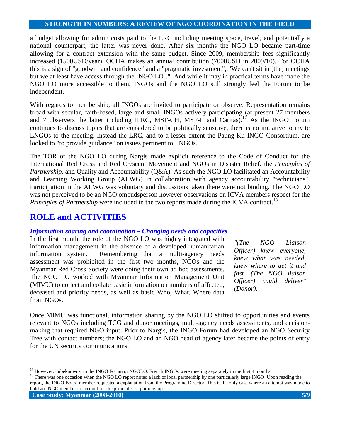a budget allowing for admin costs paid to the LRC including meeting space, travel, and potentially a national counterpart; the latter was never done. After six months the NGO LO became part-time allowing for a contract extension with the same budget. Since 2009, membership fees significantly increased (1500USD/year). OCHA makes an annual contribution (7000USD in 2009/10). For OCHA this is a sign of "goodwill and confidence" and a "pragmatic investment"; "We can't sit in [the] meetings but we at least have access through the [NGO LO]." And while it may in practical terms have made the NGO LO more accessible to them, INGOs and the NGO LO still strongly feel the Forum to be independent.

With regards to membership, all INGOs are invited to participate or observe. Representation remains broad with secular, faith-based, large and small INGOs actively participating (at present 27 members and 7 observers the latter including IFRC, MSF-CH, MSF-F and Caritas).<sup>17</sup> As the INGO Forum continues to discuss topics that are considered to be politically sensitive, there is no initiative to invite LNGOs to the meeting. Instead the LRC, and to a lesser extent the Paung Ku INGO Consortium, are looked to "to provide guidance" on issues pertinent to LNGOs.

The TOR of the NGO LO during Nargis made explicit reference to the Code of Conduct for the International Red Cross and Red Crescent Movement and NGOs in Disaster Relief, the *Principles of Partnership*, and Quality and Accountability (Q&A). As such the NGO LO facilitated an Accountability and Learning Working Group (ALWG) in collaboration with agency accountability "technicians". Participation in the ALWG was voluntary and discussions taken there were not binding. The NGO LO was not perceived to be an NGO ombudsperson however observations on ICVA members respect for the Principles of Partnership were included in the two reports made during the ICVA contract.<sup>18</sup>

## **ROLE and ACTIVITIES**

#### *Information sharing and coordination – Changing needs and capacities*

In the first month, the role of the NGO LO was highly integrated with information management in the absence of a developed humanitarian information system. Remembering that a multi-agency needs assessment was prohibited in the first two months, NGOs and the Myanmar Red Cross Society were doing their own ad hoc assessments. The NGO LO worked with Myanmar Information Management Unit (MIMU) to collect and collate basic information on numbers of affected, deceased and priority needs, as well as basic Who, What, Where data from NGOs.

*"(The NGO Liaison Officer) knew everyone, knew what was needed, knew where to get it and fast. (The NGO liaison Officer) could deliver" (Donor).*

Once MIMU was functional, information sharing by the NGO LO shifted to opportunities and events relevant to NGOs including TCG and donor meetings, multi-agency needs assessments, and decisionmaking that required NGO input. Prior to Nargis, the INGO Forum had developed an NGO Security Tree with contact numbers; the NGO LO and an NGO head of agency later became the points of entry for the UN security communications.

<sup>18</sup> There was one occasion when the NGO LO report noted a lack of local partnership by one particularly large INGO. Upon reading the report, the INGO Board member requested a explanation from the Programme Director. This is the only case where an attempt was made to hold an INGO member to account for the principles of partnership.

<sup>&</sup>lt;sup>17</sup> However, unbeknownst to the INGO Forum or NGOLO, French INGOs were meeting separately in the first 4 months.

**Case Study: Myanmar (2008-2010)** 5/9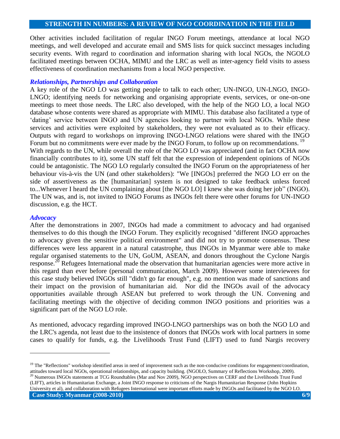Other activities included facilitation of regular INGO Forum meetings, attendance at local NGO meetings, and well developed and accurate email and SMS lists for quick succinct messages including security events. With regard to coordination and information sharing with local NGOs, the NGOLO facilitated meetings between OCHA, MIMU and the LRC as well as inter-agency field visits to assess effectiveness of coordination mechanisms from a local NGO perspective.

#### *Relationships, Partnerships and Collaboration*

A key role of the NGO LO was getting people to talk to each other; UN-INGO, UN-LNGO, INGO-LNGO; identifying needs for networking and organising appropriate events, services, or one-on-one meetings to meet those needs. The LRC also developed, with the help of the NGO LO, a local NGO database whose contents were shared as appropriate with MIMU. This database also facilitated a type of 'dating' service between INGO and UN agencies looking to partner with local NGOs. While these services and activities were exploited by stakeholders, they were not evaluated as to their efficacy. Outputs with regard to workshops on improving INGO-LNGO relations were shared with the INGO Forum but no commitments were ever made by the INGO Forum, to follow up on recommendations.<sup>19</sup> With regards to the UN, while overall the role of the NGO LO was appreciated (and in fact OCHA now financially contributes to it), some UN staff felt that the expression of independent opinions of NGOs

could be antagonistic. The NGO LO regularly consulted the INGO Forum on the appropriateness of her behaviour vis-à-vis the UN (and other stakeholders): "We [INGOs] preferred the NGO LO err on the side of assertiveness as the [humanitarian] system is not designed to take feedback unless forced to...Whenever I heard the UN complaining about [the NGO LO] I knew she was doing her job" (INGO). The UN was, and is, not invited to INGO Forums as INGOs felt there were other forums for UN-INGO discussion, e.g. the HCT.

#### *Advocacy*

l

After the demonstrations in 2007, INGOs had made a commitment to advocacy and had organised themselves to do this though the INGO Forum. They explicitly recognised "different INGO approaches to advocacy given the sensitive political environment" and did not try to promote consensus. These differences were less apparent in a natural catastrophe, thus INGOs in Myanmar were able to make regular organised statements to the UN, GoUM, ASEAN, and donors throughout the Cyclone Nargis response.<sup>20</sup> Refugees International made the observation that humanitarian agencies were more active in this regard than ever before (personal communication, March 2009). However some interviewees for this case study believed INGOs still "didn't go far enough", e.g. no mention was made of sanctions and their impact on the provision of humanitarian aid. Nor did the INGOs avail of the advocacy opportunities available through ASEAN but preferred to work through the UN. Convening and facilitating meetings with the objective of deciding common INGO positions and priorities was a significant part of the NGO LO role.

As mentioned, advocacy regarding improved INGO-LNGO partnerships was on both the NGO LO and the LRC's agenda, not least due to the insistence of donors that INGOs work with local partners in some cases to qualify for funds, e.g. the Livelihoods Trust Fund (LIFT) used to fund Nargis recovery

**Case Study: Myanmar (2008-2010)** 6/9 <sup>20</sup> Numerous INGOs statements at TCG Roundtables (Mar and Nov 2009), NGO perspectives on CERF and the Livelihoods Trust Fund (LIFT), articles in Humanitarian Exchange, a Joint INGO response to criticisms of the Nargis Humanitarian Response (John Hopkins University et al), and collaboration with Refugees International were important efforts made by INGOs and facilitated by the NGO LO.

<sup>&</sup>lt;sup>19</sup> The "Reflections" workshop identified areas in need of improvement such as the non-conducive conditions for engagement/coordination, attitudes toward local NGOs, operational relationships, and capacity building. (NGOLO, Summary of Reflections Workshop, 2009).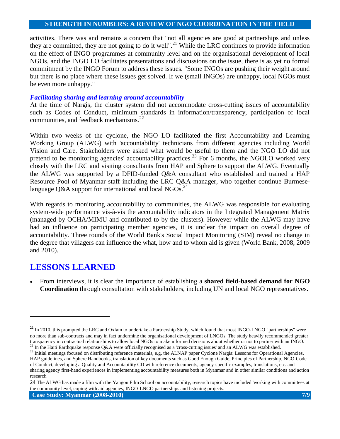activities. There was and remains a concern that "not all agencies are good at partnerships and unless they are committed, they are not going to do it well".<sup>21</sup> While the LRC continues to provide information on the effect of INGO programmes at community level and on the organisational development of local NGOs, and the INGO LO facilitates presentations and discussions on the issue, there is as yet no formal commitment by the INGO Forum to address these issues. "Some INGOs are pushing their weight around but there is no place where these issues get solved. If we (small INGOs) are unhappy, local NGOs must be even more unhappy."

#### *Facilitating sharing and learning around accountability*

At the time of Nargis, the cluster system did not accommodate cross-cutting issues of accountability such as Codes of Conduct, minimum standards in information/transparency, participation of local communities, and feedback mechanisms.<sup>22</sup>

Within two weeks of the cyclone, the NGO LO facilitated the first Accountability and Learning Working Group (ALWG) with 'accountability' technicians from different agencies including World Vision and Care. Stakeholders were asked what would be useful to them and the NGO LO did not pretend to be monitoring agencies' accountability practices.<sup>23</sup> For 6 months, the NGOLO worked very closely with the LRC and visiting consultants from HAP and Sphere to support the ALWG. Eventually the ALWG was supported by a DFID-funded Q&A consultant who established and trained a HAP Resource Pool of Myanmar staff including the LRC Q&A manager, who together continue Burmeselanguage Q&A support for international and local NGOs.<sup>24</sup>

With regards to monitoring accountability to communities, the ALWG was responsible for evaluating system-wide performance vis-à-vis the accountability indicators in the Integrated Management Matrix (managed by OCHA/MIMU and contributed to by the clusters). However while the ALWG may have had an influence on participating member agencies, it is unclear the impact on overall degree of accountability. Three rounds of the World Bank's Social Impact Monitoring (SIM) reveal no change in the degree that villagers can influence the what, how and to whom aid is given (World Bank, 2008, 2009 and 2010).

## **LESSONS LEARNED**

 $\overline{\phantom{a}}$ 

 From interviews, it is clear the importance of establishing a **shared field-based demand for NGO Coordination** through consultation with stakeholders, including UN and local NGO representatives.

<sup>&</sup>lt;sup>21</sup> In 2010, this prompted the LRC and Oxfam to undertake a Partnership Study, which found that most INGO-LNGO "partnerships" were no more than sub-contracts and may in fact undermine the organisational development of LNGOs. The study heavily recommended greater transparency in contractual relationships to allow local NGOs to make informed decisions about whether or not to partner with an INGO. <sup>22</sup> In the Haiti Earthquake response Q&A were officially recognised as a 'cross-cutting issues' and an ALWG was established.

<sup>&</sup>lt;sup>23</sup> Initial meetings focused on distributing reference materials, e.g. the ALNAP paper Cyclone Nargis: Lessons for Operational Agencies, HAP guidelines, and Sphere Handbooks, translation of key documents such as Good Enough Guide, Principles of Partnership, NGO Code of Conduct, developing a Quality and Accountability CD with reference documents, agency-specific examples, translations, etc. and sharing agency first-hand experiences in implementing accountability measures both in Myanmar and in other similar conditions and action research

<sup>24</sup> The ALWG has made a film with the Yangon Film School on accountability, research topics have included 'working with committees at the community level, coping with aid agencies, INGO-LNGO partnerships and listening projects.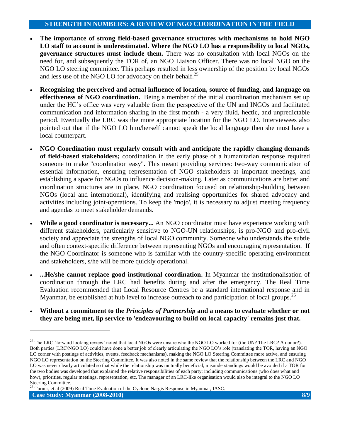- **The importance of strong field-based governance structures with mechanisms to hold NGO LO staff to account is underestimated. Where the NGO LO has a responsibility to local NGOs, governance structures must include them.** There was no consultation with local NGOs on the need for, and subsequently the TOR of, an NGO Liaison Officer. There was no local NGO on the NGO LO steering committee. This perhaps resulted in less ownership of the position by local NGOs and less use of the NGO LO for advocacy on their behalf.<sup>25</sup>
- **Recognising the perceived and actual influence of location, source of funding, and language on effectiveness of NGO coordination.** Being a member of the initial coordination mechanism set up under the HC"s office was very valuable from the perspective of the UN and INGOs and facilitated communication and information sharing in the first month - a very fluid, hectic, and unpredictable period. Eventually the LRC was the more appropriate location for the NGO LO. Interviewees also pointed out that if the NGO LO him/herself cannot speak the local language then she must have a local counterpart.
- **NGO Coordination must regularly consult with and anticipate the rapidly changing demands of field-based stakeholders;** coordination in the early phase of a humanitarian response required someone to make "coordination easy". This meant providing services: two-way communication of essential information, ensuring representation of NGO stakeholders at important meetings, and establishing a space for NGOs to influence decision-making. Later as communications are better and coordination structures are in place, NGO coordination focused on relationship-building between NGOs (local and international), identifying and realising opportunities for shared advocacy and activities including joint-operations. To keep the 'mojo', it is necessary to adjust meeting frequency and agendas to meet stakeholder demands.
- While a good coordinator is necessary... An NGO coordinator must have experience working with different stakeholders, particularly sensitive to NGO-UN relationships, is pro-NGO and pro-civil society and appreciate the strengths of local NGO community. Someone who understands the subtle and often context-specific difference between representing NGOs and encouraging representation. If the NGO Coordinator is someone who is familiar with the country-specific operating environment and stakeholders, s/he will be more quickly operational.
- **...He/she cannot replace good institutional coordination.** In Myanmar the institutionalisation of coordination through the LRC had benefits during and after the emergency. The Real Time Evaluation recommended that Local Resource Centres be a standard international response and in Myanmar, be established at hub level to increase outreach to and participation of local groups.<sup>26</sup>
- **Without a commitment to the** *Principles of Partnership* **and a means to evaluate whether or not they are being met, lip service to 'endeavouring to build on local capacity' remains just that.**

<sup>26</sup> Turner, et al (2009) Real Time Evaluation of the Cyclone Nargis Response in Myanmar, IASC.

<sup>&</sup>lt;sup>25</sup> The LRC 'forward looking review' noted that local NGOs were unsure who the NGO LO worked for (the UN? The LRC? A donor?). Both parties (LRC/NGO LO) could have done a better job of clearly articulating the NGO LO"s role (translating the TOR, having an NGO LO corner with postings of activities, events, feedback mechanisms), making the NGO LO Steering Committee more active, and ensuring NGO LO representation on the Steering Committee. It was also noted in the same review that the relationship between the LRC and NGO LO was never clearly articulated so that while the relationship was mutually beneficial, misunderstandings would be avoided if a TOR for the two bodies was developed that explained the relative responsibilities of each party; including communications (who does what and how), priorities, regular meetings, representation, etc. The manager of an LRC-like organisation would also be integral to the NGO LO Steering Committee.